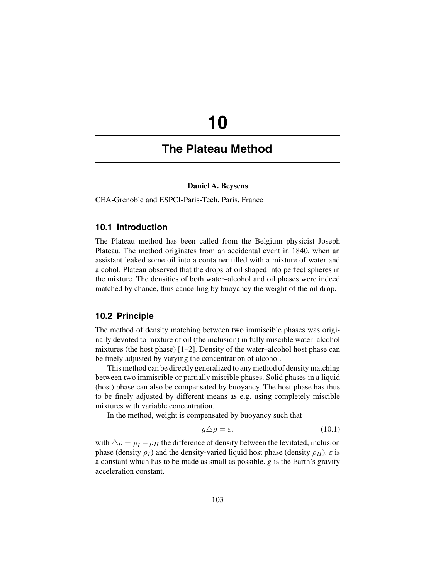# **10**

# **The Plateau Method**

#### **Daniel A. Beysens**

CEA-Grenoble and ESPCI-Paris-Tech, Paris, France

# **10.1 Introduction**

The Plateau method has been called from the Belgium physicist Joseph Plateau. The method originates from an accidental event in 1840, when an assistant leaked some oil into a container filled with a mixture of water and alcohol. Plateau observed that the drops of oil shaped into perfect spheres in the mixture. The densities of both water–alcohol and oil phases were indeed matched by chance, thus cancelling by buoyancy the weight of the oil drop.

#### **10.2 Principle**

The method of density matching between two immiscible phases was originally devoted to mixture of oil (the inclusion) in fully miscible water–alcohol mixtures (the host phase) [1–2]. Density of the water–alcohol host phase can be finely adjusted by varying the concentration of alcohol.

This method can be directly generalized to any method of density matching between two immiscible or partially miscible phases. Solid phases in a liquid (host) phase can also be compensated by buoyancy. The host phase has thus to be finely adjusted by different means as e.g. using completely miscible mixtures with variable concentration.

In the method, weight is compensated by buoyancy such that

$$
g\triangle\rho = \varepsilon. \tag{10.1}
$$

with  $\Delta \rho = \rho_I - \rho_H$  the difference of density between the levitated, inclusion<br>phase (density  $\rho_I$ ) and the density-varied liquid bost phase (density  $\rho_{II}$ )  $\epsilon$  is phase (density  $\rho_I$ ) and the density-varied liquid host phase (density  $\rho_H$ ).  $\varepsilon$  is a constant which has to be made as small as possible. *g* is the Earth's gravity acceleration constant.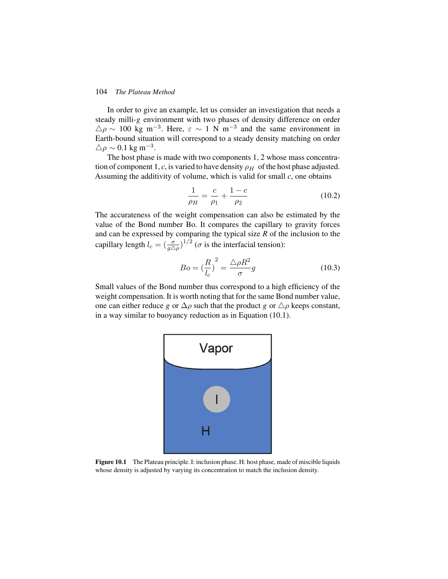#### 104 *The Plateau Method*

In order to give an example, let us consider an investigation that needs a steady milli*-g* environment with two phases of density difference on order  $\Delta \rho \sim 100 \text{ kg m}^{-3}$ . Here,  $\varepsilon \sim 1 \text{ N m}^{-3}$  and the same environment in Farth-bound situation will correspond to a steady density matching on order Earth-bound situation will correspond to a steady density matching on order  $\triangle \rho \sim 0.1 \text{ kg m}^{-3}.$ <br>The host phase

The host phase is made with two components 1, 2 whose mass concentration of component 1, *c*, is varied to have density  $\rho_H$  of the host phase adjusted. Assuming the additivity of volume, which is valid for small *c*, one obtains

$$
\frac{1}{\rho_H} = \frac{c}{\rho_1} + \frac{1 - c}{\rho_2} \tag{10.2}
$$

The accurateness of the weight compensation can also be estimated by the value of the Bond number Bo. It compares the capillary to gravity forces and can be expressed by comparing the typical size *R* of the inclusion to the capillary length  $l_c = \left(\frac{\sigma}{g\Delta\rho}\right)^{1/2}$  ( $\sigma$  is the interfacial tension):

$$
Bo = \left(\frac{R}{l_c}\right)^2 = \frac{\triangle \rho R^2}{\sigma}g\tag{10.3}
$$

Small values of the Bond number thus correspond to a high efficiency of the weight compensation. It is worth noting that for the same Bond number value, one can either reduce *g* or  $\Delta \rho$  such that the product *g* or  $\Delta \rho$  keeps constant, in a way similar to buoyancy reduction as in Fouation (10.1) in a way similar to buoyancy reduction as in Equation (10.1).



**Figure 10.1** The Plateau principle. I: inclusion phase. H: host phase, made of miscible liquids whose density is adjusted by varying its concentration to match the inclusion density.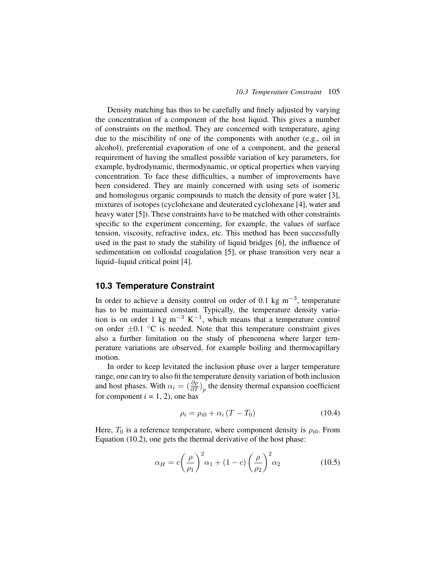Density matching has thus to be carefully and finely adjusted by varying the concentration of a component of the host liquid. This gives a number of constraints on the method. They are concerned with temperature, aging due to the miscibility of one of the components with another (e.g., oil in alcohol), preferential evaporation of one of a component, and the general requirement of having the smallest possible variation of key parameters, for example, hydrodynamic, thermodynamic, or optical properties when varying concentration. To face these difficulties, a number of improvements have been considered. They are mainly concerned with using sets of isomeric and homologous organic compounds to match the density of pure water [3], mixtures of isotopes (cyclohexane and deuterated cyclohexane [4], water and heavy water [5]). These constraints have to be matched with other constraints specific to the experiment concerning, for example, the values of surface tension, viscosity, refractive index, etc. This method has been successfully used in the past to study the stability of liquid bridges [6], the influence of sedimentation on colloidal coagulation [5], or phase transition very near a liquid–liquid critical point [4].

# **10.3 Temperature Constraint**

In order to achieve a density control on order of 0.1 kg m<sup>-3</sup>, temperature has to be maintained constant. Typically, the temperature density variation is on order 1 kg m<sup>-3</sup> K<sup>-1</sup>, which means that a temperature control on order  $\pm 0.1$  °C is needed. Note that this temperature constraint gives also a further limitation on the study of phenomena where larger temperature variations are observed, for example boiling and thermocapillary motion.

In order to keep levitated the inclusion phase over a larger temperature range, one can try to also fit the temperature density variation of both inclusion and host phases. With  $\alpha_i = \left(\frac{\partial \rho}{\partial T}\right)_p$  the density thermal expansion coefficient for component  $i = 1, 2$ ), one has for component  $i = 1, 2$ , one has

$$
\rho_i = \rho_{i0} + \alpha_i (T - T_0) \tag{10.4}
$$

Here,  $T_0$  is a reference temperature, where component density is  $\rho_{i0}$ . From Equation (10.2), one gets the thermal derivative of the host phase:

$$
\alpha_H = c \left(\frac{\rho}{\rho_1}\right)^2 \alpha_1 + (1 - c) \left(\frac{\rho}{\rho_2}\right)^2 \alpha_2 \tag{10.5}
$$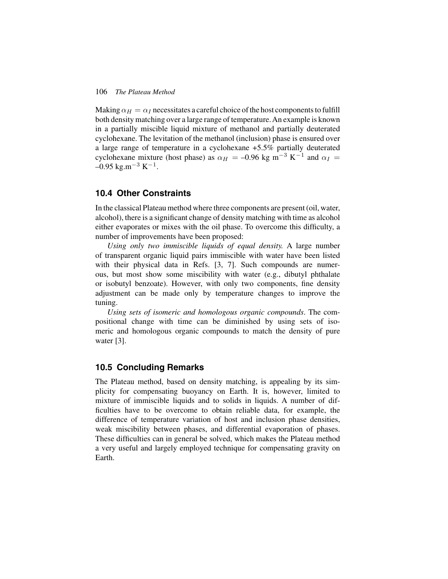#### 106 *The Plateau Method*

Making  $\alpha_H = \alpha_I$  necessitates a careful choice of the host components to fulfill both density matching over a large range of temperature. An example is known in a partially miscible liquid mixture of methanol and partially deuterated cyclohexane. The levitation of the methanol (inclusion) phase is ensured over a large range of temperature in a cyclohexane +5.5% partially deuterated cyclohexane mixture (host phase) as  $\alpha_H = -0.96$  kg m<sup>-3</sup> K<sup>-1</sup> and  $\alpha_I =$  $-0.95$  kg.m<sup>-3</sup> K<sup>-1</sup>.

# **10.4 Other Constraints**

In the classical Plateau method where three components are present (oil, water, alcohol), there is a significant change of density matching with time as alcohol either evaporates or mixes with the oil phase. To overcome this difficulty, a number of improvements have been proposed:

*Using only two immiscible liquids of equal density.* A large number of transparent organic liquid pairs immiscible with water have been listed with their physical data in Refs. [3, 7]. Such compounds are numerous, but most show some miscibility with water (e.g., dibutyl phthalate or isobutyl benzoate). However, with only two components, fine density adjustment can be made only by temperature changes to improve the tuning.

*Using sets of isomeric and homologous organic compounds*. The compositional change with time can be diminished by using sets of isomeric and homologous organic compounds to match the density of pure water [3].

# **10.5 Concluding Remarks**

The Plateau method, based on density matching, is appealing by its simplicity for compensating buoyancy on Earth. It is, however, limited to mixture of immiscible liquids and to solids in liquids. A number of difficulties have to be overcome to obtain reliable data, for example, the difference of temperature variation of host and inclusion phase densities, weak miscibility between phases, and differential evaporation of phases. These difficulties can in general be solved, which makes the Plateau method a very useful and largely employed technique for compensating gravity on Earth.